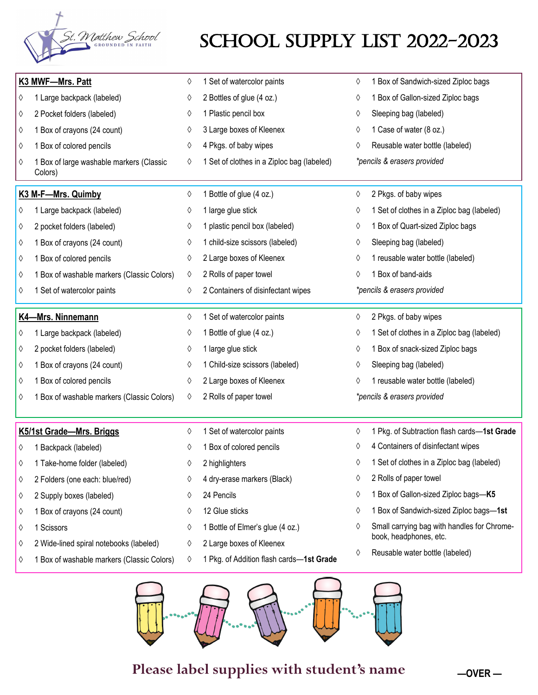

## SCHOOL SUPPLY LIST 2022-2023

| K3 MWF-Mrs. Patt |                                                     | 0 | 1 Set of watercolor paints                 | ♦ | 1 Box of Sandwich-sized Ziploc bags         |
|------------------|-----------------------------------------------------|---|--------------------------------------------|---|---------------------------------------------|
| ♦                | 1 Large backpack (labeled)                          | ♦ | 2 Bottles of glue (4 oz.)                  | ♦ | 1 Box of Gallon-sized Ziploc bags           |
| ♦                | 2 Pocket folders (labeled)                          | ♦ | 1 Plastic pencil box                       | ♦ | Sleeping bag (labeled)                      |
| ♦                | 1 Box of crayons (24 count)                         | ♦ | 3 Large boxes of Kleenex                   | ♦ | 1 Case of water (8 oz.)                     |
| ♦                | 1 Box of colored pencils                            | ♦ | 4 Pkgs. of baby wipes                      | ♦ | Reusable water bottle (labeled)             |
| ♦                | 1 Box of large washable markers (Classic<br>Colors) | ♦ | 1 Set of clothes in a Ziploc bag (labeled) |   | *pencils & erasers provided                 |
|                  | K3 M-F-Mrs. Quimby                                  | ♦ | 1 Bottle of glue (4 oz.)                   | ♦ | 2 Pkgs. of baby wipes                       |
| ♦                | 1 Large backpack (labeled)                          | ♦ | 1 large glue stick                         | ♦ | 1 Set of clothes in a Ziploc bag (labeled)  |
| ♦                | 2 pocket folders (labeled)                          | ♦ | 1 plastic pencil box (labeled)             | ♦ | 1 Box of Quart-sized Ziploc bags            |
| ♦                | 1 Box of crayons (24 count)                         | ♦ | 1 child-size scissors (labeled)            | ♦ | Sleeping bag (labeled)                      |
| ♦                | 1 Box of colored pencils                            | ♦ | 2 Large boxes of Kleenex                   | ♦ | 1 reusable water bottle (labeled)           |
| ♦                | 1 Box of washable markers (Classic Colors)          | ♦ | 2 Rolls of paper towel                     | ♦ | 1 Box of band-aids                          |
| ♦                | 1 Set of watercolor paints                          | ♦ | 2 Containers of disinfectant wipes         |   | *pencils & erasers provided                 |
|                  | K4-Mrs. Ninnemann                                   | ♦ | 1 Set of watercolor paints                 | ♦ | 2 Pkgs. of baby wipes                       |
| ♦                | 1 Large backpack (labeled)                          | ♦ | 1 Bottle of glue (4 oz.)                   | ♦ | 1 Set of clothes in a Ziploc bag (labeled)  |
| ♦                | 2 pocket folders (labeled)                          | ♦ | 1 large glue stick                         | ♦ | 1 Box of snack-sized Ziploc bags            |
| ♦                | 1 Box of crayons (24 count)                         | ♦ | 1 Child-size scissors (labeled)            | ♦ | Sleeping bag (labeled)                      |
| ♦                | 1 Box of colored pencils                            | ♦ | 2 Large boxes of Kleenex                   | ♦ | 1 reusable water bottle (labeled)           |
| ♦                | 1 Box of washable markers (Classic Colors)          | ♦ | 2 Rolls of paper towel                     |   | *pencils & erasers provided                 |
|                  | K5/1st Grade-Mrs. Briggs                            | ♦ | 1 Set of watercolor paints                 | ♦ | 1 Pkg. of Subtraction flash cards-1st Grade |
| ♦                | 1 Backpack (labeled)                                | ♦ | 1 Box of colored pencils                   | ♦ | 4 Containers of disinfectant wipes          |
| ♦                | 1 Take-home folder (labeled)                        | 0 | 2 highlighters                             | ♦ | 1 Set of clothes in a Ziploc bag (labeled)  |
| ♦                | 2 Folders (one each: blue/red)                      | ♦ | 4 dry-erase markers (Black)                | ♦ | 2 Rolls of paper towel                      |
| ♦                | 2 Supply boxes (labeled)                            | ♦ | 24 Pencils                                 | ♦ | 1 Box of Gallon-sized Ziploc bags-K5        |
| ♦                | 1 Box of crayons (24 count)                         | ♦ | 12 Glue sticks                             | ♦ | 1 Box of Sandwich-sized Ziploc bags-1st     |
| ♦                | 1 Scissors                                          | ♦ | 1 Bottle of Elmer's glue (4 oz.)           | ♦ | Small carrying bag with handles for Chrome- |
|                  | 2 Wide-lined spiral notebooks (labeled)             | ♦ | 2 Large boxes of Kleenex                   |   | book, headphones, etc.                      |
| ♦                |                                                     |   |                                            | ♦ | Reusable water bottle (labeled)             |



**Please label supplies with student's name**

**—OVER —**